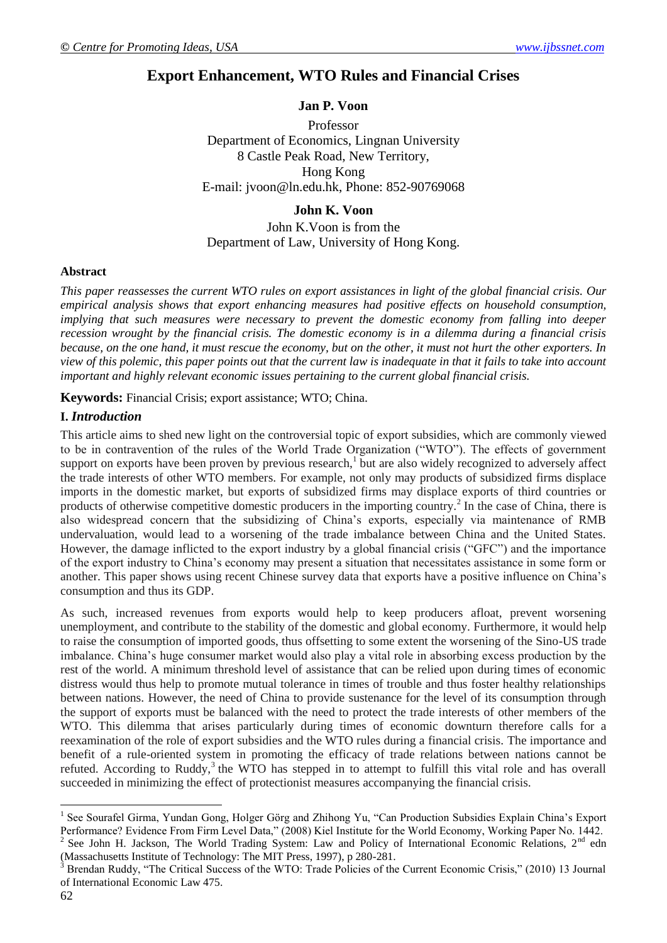# **Export Enhancement, WTO Rules and Financial Crises**

## **Jan P. Voon**

Professor Department of Economics, Lingnan University 8 Castle Peak Road, New Territory, Hong Kong E-mail: [jvoon@ln.edu.hk,](mailto:jvoon@ln.edu.hk) Phone: 852-90769068

## **John K. Voon**

## John K.Voon is from the Department of Law, University of Hong Kong.

#### **Abstract**

*This paper reassesses the current WTO rules on export assistances in light of the global financial crisis. Our empirical analysis shows that export enhancing measures had positive effects on household consumption, implying that such measures were necessary to prevent the domestic economy from falling into deeper recession wrought by the financial crisis. The domestic economy is in a dilemma during a financial crisis because, on the one hand, it must rescue the economy, but on the other, it must not hurt the other exporters. In view of this polemic, this paper points out that the current law is inadequate in that it fails to take into account important and highly relevant economic issues pertaining to the current global financial crisis.*

**Keywords:** Financial Crisis; export assistance; WTO; China.

## **I.** *Introduction*

This article aims to shed new light on the controversial topic of export subsidies, which are commonly viewed to be in contravention of the rules of the World Trade Organization ("WTO"). The effects of government support on exports have been proven by previous research,<sup>1</sup> but are also widely recognized to adversely affect the trade interests of other WTO members. For example, not only may products of subsidized firms displace imports in the domestic market, but exports of subsidized firms may displace exports of third countries or products of otherwise competitive domestic producers in the importing country.<sup>2</sup> In the case of China, there is also widespread concern that the subsidizing of China"s exports, especially via maintenance of RMB undervaluation, would lead to a worsening of the trade imbalance between China and the United States. However, the damage inflicted to the export industry by a global financial crisis ("GFC") and the importance of the export industry to China"s economy may present a situation that necessitates assistance in some form or another. This paper shows using recent Chinese survey data that exports have a positive influence on China"s consumption and thus its GDP.

As such, increased revenues from exports would help to keep producers afloat, prevent worsening unemployment, and contribute to the stability of the domestic and global economy. Furthermore, it would help to raise the consumption of imported goods, thus offsetting to some extent the worsening of the Sino-US trade imbalance. China"s huge consumer market would also play a vital role in absorbing excess production by the rest of the world. A minimum threshold level of assistance that can be relied upon during times of economic distress would thus help to promote mutual tolerance in times of trouble and thus foster healthy relationships between nations. However, the need of China to provide sustenance for the level of its consumption through the support of exports must be balanced with the need to protect the trade interests of other members of the WTO. This dilemma that arises particularly during times of economic downturn therefore calls for a reexamination of the role of export subsidies and the WTO rules during a financial crisis. The importance and benefit of a rule-oriented system in promoting the efficacy of trade relations between nations cannot be refuted. According to Ruddy,<sup>3</sup> the WTO has stepped in to attempt to fulfill this vital role and has overall succeeded in minimizing the effect of protectionist measures accompanying the financial crisis.

<sup>&</sup>lt;sup>1</sup> See Sourafel Girma, Yundan Gong, Holger Görg and Zhihong Yu, "Can Production Subsidies Explain China's Export Performance? Evidence From Firm Level Data," (2008) Kiel Institute for the World Economy, Working Paper No. 1442.

See John H. Jackson, The World Trading System: Law and Policy of International Economic Relations, 2<sup>nd</sup> edn (Massachusetts Institute of Technology: The MIT Press, 1997), p 280-281.

<sup>&</sup>lt;sup>3</sup> Brendan Ruddy, "The Critical Success of the WTO: Trade Policies of the Current Economic Crisis," (2010) 13 Journal of International Economic Law 475.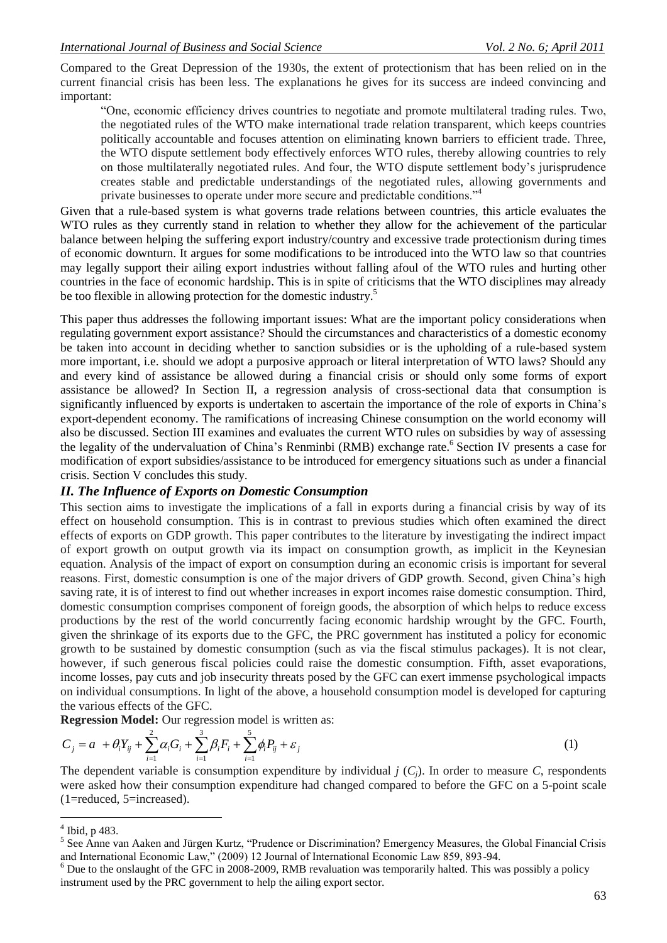Compared to the Great Depression of the 1930s, the extent of protectionism that has been relied on in the current financial crisis has been less. The explanations he gives for its success are indeed convincing and important:

"One, economic efficiency drives countries to negotiate and promote multilateral trading rules. Two, the negotiated rules of the WTO make international trade relation transparent, which keeps countries politically accountable and focuses attention on eliminating known barriers to efficient trade. Three, the WTO dispute settlement body effectively enforces WTO rules, thereby allowing countries to rely on those multilaterally negotiated rules. And four, the WTO dispute settlement body"s jurisprudence creates stable and predictable understandings of the negotiated rules, allowing governments and private businesses to operate under more secure and predictable conditions."<sup>4</sup>

Given that a rule-based system is what governs trade relations between countries, this article evaluates the WTO rules as they currently stand in relation to whether they allow for the achievement of the particular balance between helping the suffering export industry/country and excessive trade protectionism during times of economic downturn. It argues for some modifications to be introduced into the WTO law so that countries may legally support their ailing export industries without falling afoul of the WTO rules and hurting other countries in the face of economic hardship. This is in spite of criticisms that the WTO disciplines may already be too flexible in allowing protection for the domestic industry.<sup>5</sup>

This paper thus addresses the following important issues: What are the important policy considerations when regulating government export assistance? Should the circumstances and characteristics of a domestic economy be taken into account in deciding whether to sanction subsidies or is the upholding of a rule-based system more important, i.e. should we adopt a purposive approach or literal interpretation of WTO laws? Should any and every kind of assistance be allowed during a financial crisis or should only some forms of export assistance be allowed? In Section II, a regression analysis of cross-sectional data that consumption is significantly influenced by exports is undertaken to ascertain the importance of the role of exports in China"s export-dependent economy. The ramifications of increasing Chinese consumption on the world economy will also be discussed. Section III examines and evaluates the current WTO rules on subsidies by way of assessing the legality of the undervaluation of China's Renminbi (RMB) exchange rate.<sup>6</sup> Section IV presents a case for modification of export subsidies/assistance to be introduced for emergency situations such as under a financial crisis. Section V concludes this study.

## *II. The Influence of Exports on Domestic Consumption*

This section aims to investigate the implications of a fall in exports during a financial crisis by way of its effect on household consumption. This is in contrast to previous studies which often examined the direct effects of exports on GDP growth. This paper contributes to the literature by investigating the indirect impact of export growth on output growth via its impact on consumption growth, as implicit in the Keynesian equation. Analysis of the impact of export on consumption during an economic crisis is important for several reasons. First, domestic consumption is one of the major drivers of GDP growth. Second, given China"s high saving rate, it is of interest to find out whether increases in export incomes raise domestic consumption. Third, domestic consumption comprises component of foreign goods, the absorption of which helps to reduce excess productions by the rest of the world concurrently facing economic hardship wrought by the GFC. Fourth, given the shrinkage of its exports due to the GFC, the PRC government has instituted a policy for economic growth to be sustained by domestic consumption (such as via the fiscal stimulus packages). It is not clear, however, if such generous fiscal policies could raise the domestic consumption. Fifth, asset evaporations, income losses, pay cuts and job insecurity threats posed by the GFC can exert immense psychological impacts on individual consumptions. In light of the above, a household consumption model is developed for capturing the various effects of the GFC.

**Regression Model:** Our regression model is written as:

$$
C_j = a + \theta_i Y_{ij} + \sum_{i=1}^{2} \alpha_i G_i + \sum_{i=1}^{3} \beta_i F_i + \sum_{i=1}^{5} \phi_i P_{ij} + \varepsilon_j
$$
\n(1)

The dependent variable is consumption expenditure by individual *j* ( $C_i$ ). In order to measure *C*, respondents were asked how their consumption expenditure had changed compared to before the GFC on a 5-point scale (1=reduced, 5=increased).

<sup>4</sup> Ibid, p 483.

<sup>&</sup>lt;sup>5</sup> See Anne van Aaken and Jürgen Kurtz, "Prudence or Discrimination? Emergency Measures, the Global Financial Crisis and International Economic Law," (2009) 12 Journal of International Economic Law 859, 893-94.

 $6$  Due to the onslaught of the GFC in 2008-2009, RMB revaluation was temporarily halted. This was possibly a policy instrument used by the PRC government to help the ailing export sector.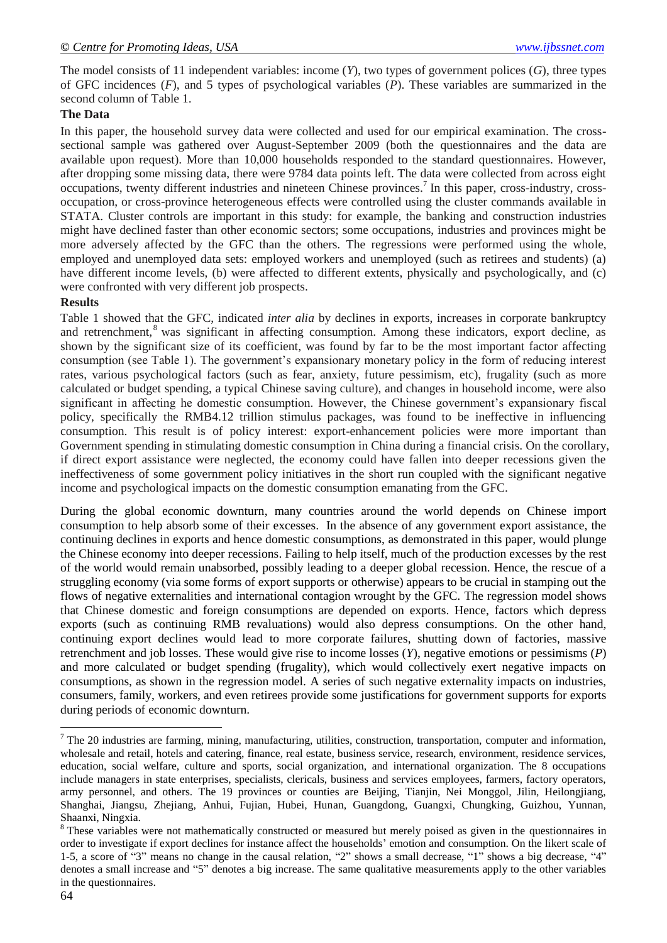The model consists of 11 independent variables: income (*Y*), two types of government polices (*G*), three types of GFC incidences (*F*), and 5 types of psychological variables (*P*). These variables are summarized in the second column of Table 1.

#### **The Data**

In this paper, the household survey data were collected and used for our empirical examination. The crosssectional sample was gathered over August-September 2009 (both the questionnaires and the data are available upon request). More than 10,000 households responded to the standard questionnaires. However, after dropping some missing data, there were 9784 data points left. The data were collected from across eight occupations, twenty different industries and nineteen Chinese provinces.<sup>7</sup> In this paper, cross-industry, crossoccupation, or cross-province heterogeneous effects were controlled using the cluster commands available in STATA. Cluster controls are important in this study: for example, the banking and construction industries might have declined faster than other economic sectors; some occupations, industries and provinces might be more adversely affected by the GFC than the others. The regressions were performed using the whole, employed and unemployed data sets: employed workers and unemployed (such as retirees and students) (a) have different income levels, (b) were affected to different extents, physically and psychologically, and (c) were confronted with very different job prospects.

#### **Results**

Table 1 showed that the GFC, indicated *inter alia* by declines in exports, increases in corporate bankruptcy and retrenchment,<sup>8</sup> was significant in affecting consumption. Among these indicators, export decline, as shown by the significant size of its coefficient, was found by far to be the most important factor affecting consumption (see Table 1). The government's expansionary monetary policy in the form of reducing interest rates, various psychological factors (such as fear, anxiety, future pessimism, etc), frugality (such as more calculated or budget spending, a typical Chinese saving culture), and changes in household income, were also significant in affecting he domestic consumption. However, the Chinese government's expansionary fiscal policy, specifically the RMB4.12 trillion stimulus packages, was found to be ineffective in influencing consumption. This result is of policy interest: export-enhancement policies were more important than Government spending in stimulating domestic consumption in China during a financial crisis. On the corollary, if direct export assistance were neglected, the economy could have fallen into deeper recessions given the ineffectiveness of some government policy initiatives in the short run coupled with the significant negative income and psychological impacts on the domestic consumption emanating from the GFC.

During the global economic downturn, many countries around the world depends on Chinese import consumption to help absorb some of their excesses. In the absence of any government export assistance, the continuing declines in exports and hence domestic consumptions, as demonstrated in this paper, would plunge the Chinese economy into deeper recessions. Failing to help itself, much of the production excesses by the rest of the world would remain unabsorbed, possibly leading to a deeper global recession. Hence, the rescue of a struggling economy (via some forms of export supports or otherwise) appears to be crucial in stamping out the flows of negative externalities and international contagion wrought by the GFC. The regression model shows that Chinese domestic and foreign consumptions are depended on exports. Hence, factors which depress exports (such as continuing RMB revaluations) would also depress consumptions. On the other hand, continuing export declines would lead to more corporate failures, shutting down of factories, massive retrenchment and job losses. These would give rise to income losses (*Y*), negative emotions or pessimisms (*P*) and more calculated or budget spending (frugality), which would collectively exert negative impacts on consumptions, as shown in the regression model. A series of such negative externality impacts on industries, consumers, family, workers, and even retirees provide some justifications for government supports for exports during periods of economic downturn.

 $7$  The 20 industries are farming, mining, manufacturing, utilities, construction, transportation, computer and information, wholesale and retail, hotels and catering, finance, real estate, business service, research, environment, residence services, education, social welfare, culture and sports, social organization, and international organization. The 8 occupations include managers in state enterprises, specialists, clericals, business and services employees, farmers, factory operators, army personnel, and others. The 19 provinces or counties are Beijing, Tianjin, Nei Monggol, Jilin, Heilongjiang, Shanghai, Jiangsu, Zhejiang, Anhui, Fujian, Hubei, Hunan, Guangdong, Guangxi, Chungking, Guizhou, Yunnan, Shaanxi, Ningxia.

<sup>&</sup>lt;sup>8</sup> These variables were not mathematically constructed or measured but merely poised as given in the questionnaires in order to investigate if export declines for instance affect the households" emotion and consumption. On the likert scale of 1-5, a score of "3" means no change in the causal relation, "2" shows a small decrease, "1" shows a big decrease, "4" denotes a small increase and "5" denotes a big increase. The same qualitative measurements apply to the other variables in the questionnaires.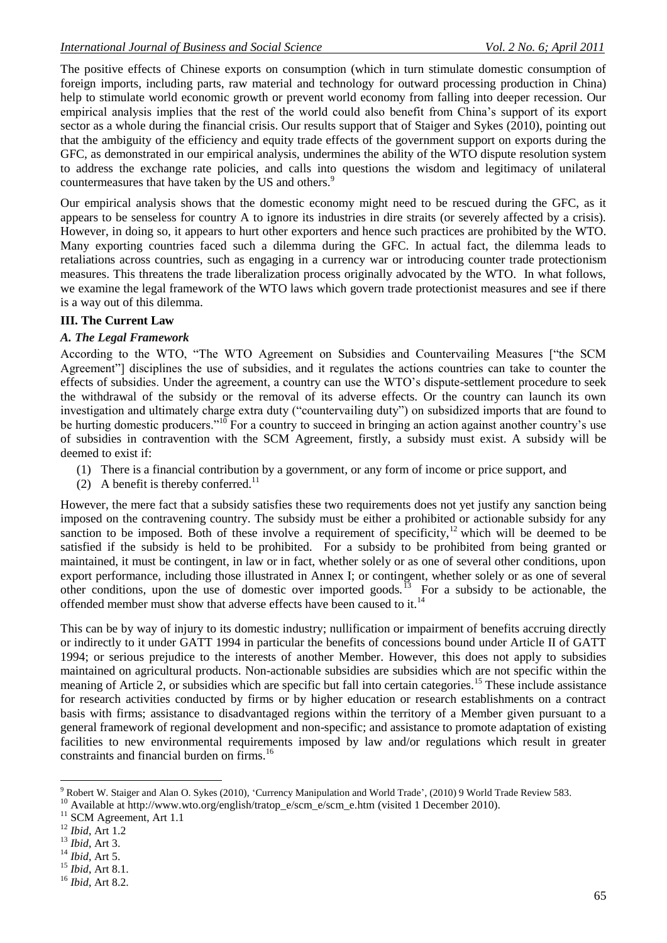The positive effects of Chinese exports on consumption (which in turn stimulate domestic consumption of foreign imports, including parts, raw material and technology for outward processing production in China) help to stimulate world economic growth or prevent world economy from falling into deeper recession. Our empirical analysis implies that the rest of the world could also benefit from China"s support of its export sector as a whole during the financial crisis. Our results support that of Staiger and Sykes (2010), pointing out that the ambiguity of the efficiency and equity trade effects of the government support on exports during the GFC, as demonstrated in our empirical analysis, undermines the ability of the WTO dispute resolution system to address the exchange rate policies, and calls into questions the wisdom and legitimacy of unilateral countermeasures that have taken by the US and others.<sup>9</sup>

Our empirical analysis shows that the domestic economy might need to be rescued during the GFC, as it appears to be senseless for country A to ignore its industries in dire straits (or severely affected by a crisis). However, in doing so, it appears to hurt other exporters and hence such practices are prohibited by the WTO. Many exporting countries faced such a dilemma during the GFC. In actual fact, the dilemma leads to retaliations across countries, such as engaging in a currency war or introducing counter trade protectionism measures. This threatens the trade liberalization process originally advocated by the WTO. In what follows, we examine the legal framework of the WTO laws which govern trade protectionist measures and see if there is a way out of this dilemma.

## **III. The Current Law**

## *A. The Legal Framework*

According to the WTO, "The WTO Agreement on Subsidies and Countervailing Measures ["the SCM Agreement"] disciplines the use of subsidies, and it regulates the actions countries can take to counter the effects of subsidies. Under the agreement, a country can use the WTO"s dispute-settlement procedure to seek the withdrawal of the subsidy or the removal of its adverse effects. Or the country can launch its own investigation and ultimately charge extra duty ("countervailing duty") on subsidized imports that are found to be hurting domestic producers."<sup>10</sup> For a country to succeed in bringing an action against another country's use of subsidies in contravention with the SCM Agreement, firstly, a subsidy must exist. A subsidy will be deemed to exist if:

- (1) There is a financial contribution by a government, or any form of income or price support, and
- (2) A benefit is thereby conferred.<sup>11</sup>

However, the mere fact that a subsidy satisfies these two requirements does not yet justify any sanction being imposed on the contravening country. The subsidy must be either a prohibited or actionable subsidy for any sanction to be imposed. Both of these involve a requirement of specificity,<sup>12</sup> which will be deemed to be satisfied if the subsidy is held to be prohibited. For a subsidy to be prohibited from being granted or maintained, it must be contingent, in law or in fact, whether solely or as one of several other conditions, upon export performance, including those illustrated in Annex I; or contingent, whether solely or as one of several other conditions, upon the use of domestic over imported goods.<sup>13</sup> For a subsidy to be actionable, the offended member must show that adverse effects have been caused to it.<sup>14</sup>

This can be by way of injury to its domestic industry; nullification or impairment of benefits accruing directly or indirectly to it under GATT 1994 in particular the benefits of concessions bound under Article II of GATT 1994; or serious prejudice to the interests of another Member. However, this does not apply to subsidies maintained on agricultural products. Non-actionable subsidies are subsidies which are not specific within the meaning of Article 2, or subsidies which are specific but fall into certain categories.<sup>15</sup> These include assistance for research activities conducted by firms or by higher education or research establishments on a contract basis with firms; assistance to disadvantaged regions within the territory of a Member given pursuant to a general framework of regional development and non-specific; and assistance to promote adaptation of existing facilities to new environmental requirements imposed by law and/or regulations which result in greater constraints and financial burden on firms.<sup>16</sup>

<sup>15</sup> *Ibid*, Art 8.1.

<sup>1</sup> <sup>9</sup> Robert W. Staiger and Alan O. Sykes (2010), "Currency Manipulation and World Trade", (2010) 9 World Trade Review 583.

<sup>&</sup>lt;sup>10</sup> Available at http://www.wto.org/english/tratop\_e/scm\_e/scm\_e.htm (visited 1 December 2010).

<sup>&</sup>lt;sup>11</sup> SCM Agreement, Art 1.1

<sup>12</sup> *Ibid*, Art 1.2

<sup>13</sup> *Ibid*, Art 3.

<sup>14</sup> *Ibid*, Art 5.

<sup>16</sup> *Ibid*, Art 8.2.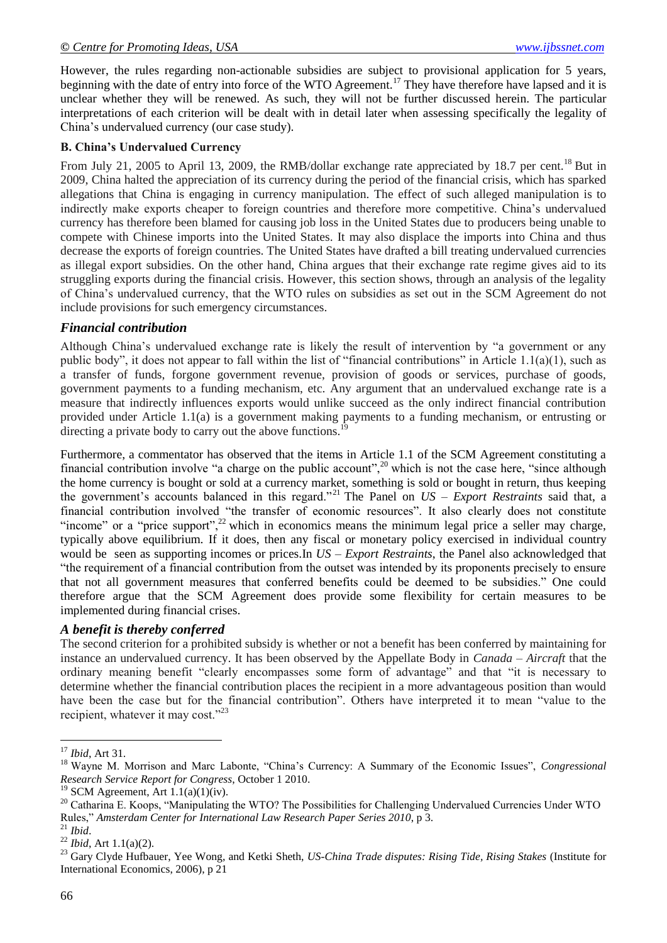However, the rules regarding non-actionable subsidies are subject to provisional application for 5 years, beginning with the date of entry into force of the WTO Agreement.<sup>17</sup> They have therefore have lapsed and it is unclear whether they will be renewed. As such, they will not be further discussed herein. The particular interpretations of each criterion will be dealt with in detail later when assessing specifically the legality of China"s undervalued currency (our case study).

#### **B. China's Undervalued Currency**

<span id="page-4-1"></span>From July 21, 2005 to April 13, 2009, the RMB/dollar exchange rate appreciated by 18.7 per cent.<sup>18</sup> But in 2009, China halted the appreciation of its currency during the period of the financial crisis, which has sparked allegations that China is engaging in currency manipulation. The effect of such alleged manipulation is to indirectly make exports cheaper to foreign countries and therefore more competitive. China"s undervalued currency has therefore been blamed for causing job loss in the United States due to producers being unable to compete with Chinese imports into the United States. It may also displace the imports into China and thus decrease the exports of foreign countries. The United States have drafted a bill treating undervalued currencies as illegal export subsidies. On the other hand, China argues that their exchange rate regime gives aid to its struggling exports during the financial crisis. However, this section shows, through an analysis of the legality of China"s undervalued currency, that the WTO rules on subsidies as set out in the SCM Agreement do not include provisions for such emergency circumstances.

## *Financial contribution*

Although China"s undervalued exchange rate is likely the result of intervention by "a government or any public body", it does not appear to fall within the list of "financial contributions" in Article 1.1(a)(1), such as a transfer of funds, forgone government revenue, provision of goods or services, purchase of goods, government payments to a funding mechanism, etc. Any argument that an undervalued exchange rate is a measure that indirectly influences exports would unlike succeed as the only indirect financial contribution provided under Article 1.1(a) is a government making payments to a funding mechanism, or entrusting or directing a private body to carry out the above functions.

Furthermore, a commentator has observed that the items in Article 1.1 of the SCM Agreement constituting a financial contribution involve "a charge on the public account",<sup>20</sup> which is not the case here, "since although the home currency is bought or sold at a currency market, something is sold or bought in return, thus keeping the government"s accounts balanced in this regard."<sup>21</sup> The Panel on *US – Export Restraints* said that, a financial contribution involved "the transfer of economic resources". It also clearly does not constitute "income" or a "price support",  $^{22}$  which in economics means the minimum legal price a seller may charge, typically above equilibrium. If it does, then any fiscal or monetary policy exercised in individual country would be seen as supporting incomes or prices.In *US – Export Restraints*, the Panel also acknowledged that "the requirement of a financial contribution from the outset was intended by its proponents precisely to ensure that not all government measures that conferred benefits could be deemed to be subsidies." One could therefore argue that the SCM Agreement does provide some flexibility for certain measures to be implemented during financial crises.

## *A benefit is thereby conferred*

The second criterion for a prohibited subsidy is whether or not a benefit has been conferred by maintaining for instance an undervalued currency. It has been observed by the Appellate Body in *Canada – Aircraft* that the ordinary meaning benefit "clearly encompasses some form of advantage" and that "it is necessary to determine whether the financial contribution places the recipient in a more advantageous position than would have been the case but for the financial contribution". Others have interpreted it to mean "value to the recipient, whatever it may cost."<sup>23</sup>

<span id="page-4-0"></span><sup>17</sup> *Ibid*, Art 31.

<sup>18</sup> Wayne M. Morrison and Marc Labonte, "China"s Currency: A Summary of the Economic Issues", *Congressional Research Service Report for Congress*, October 1 2010.

<sup>&</sup>lt;sup>19</sup> SCM Agreement, Art  $1.1(a)(1)(iv)$ .

<sup>&</sup>lt;sup>20</sup> Catharina E. Koops, "Manipulating the WTO? The Possibilities for Challenging Undervalued Currencies Under WTO Rules," *Amsterdam Center for International Law Research Paper Series 2010*, p 3.

<sup>21</sup> *Ibid*.

<sup>22</sup> *Ibid*, Art 1.1(a)(2).

<sup>23</sup> Gary Clyde Hufbauer, Yee Wong, and Ketki Sheth, *US-China Trade disputes: Rising Tide, Rising Stakes* (Institute for International Economics, 2006), p 21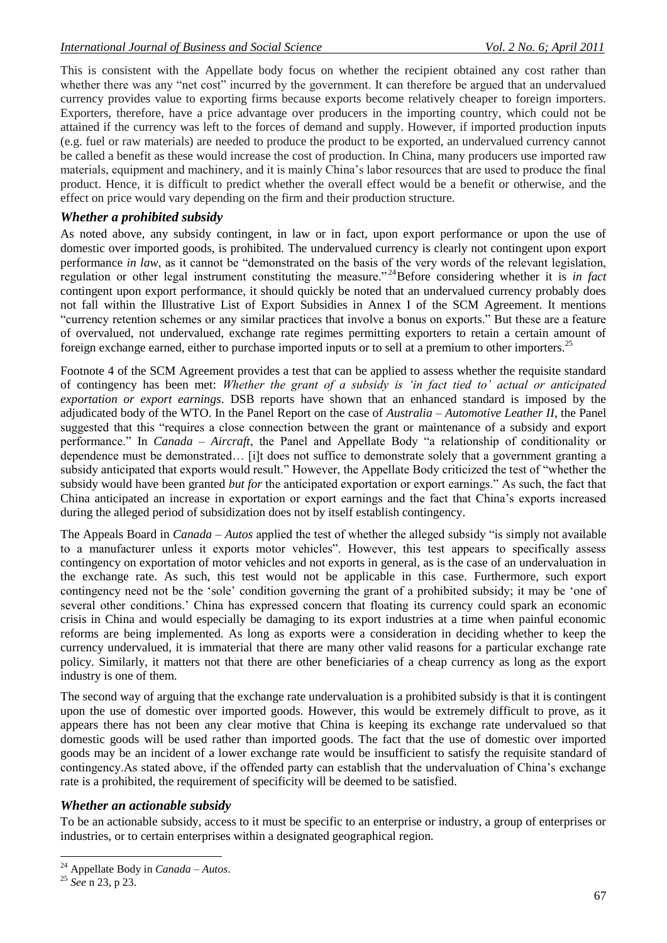This is consistent with the Appellate body focus on whether the recipient obtained any cost rather than whether there was any "net cost" incurred by the government. It can therefore be argued that an undervalued currency provides value to exporting firms because exports become relatively cheaper to foreign importers. Exporters, therefore, have a price advantage over producers in the importing country, which could not be attained if the currency was left to the forces of demand and supply. However, if imported production inputs (e.g. fuel or raw materials) are needed to produce the product to be exported, an undervalued currency cannot be called a benefit as these would increase the cost of production. In China, many producers use imported raw materials, equipment and machinery, and it is mainly China"s labor resources that are used to produce the final product. Hence, it is difficult to predict whether the overall effect would be a benefit or otherwise, and the effect on price would vary depending on the firm and their production structure.

#### *Whether a prohibited subsidy*

As noted above, any subsidy contingent, in law or in fact, upon export performance or upon the use of domestic over imported goods, is prohibited. The undervalued currency is clearly not contingent upon export performance *in law*, as it cannot be "demonstrated on the basis of the very words of the relevant legislation, regulation or other legal instrument constituting the measure." <sup>24</sup>Before considering whether it is *in fact*  contingent upon export performance, it should quickly be noted that an undervalued currency probably does not fall within the Illustrative List of Export Subsidies in Annex I of the SCM Agreement. It mentions "currency retention schemes or any similar practices that involve a bonus on exports." But these are a feature of overvalued, not undervalued, exchange rate regimes permitting exporters to retain a certain amount of foreign exchange earned, either to purchase imported inputs or to sell at a premium to other importers.<sup>25</sup>

Footnote 4 of the SCM Agreement provides a test that can be applied to assess whether the requisite standard of contingency has been met: *Whether the grant of a subsidy is 'in fact tied to' actual or anticipated exportation or export earnings*. DSB reports have shown that an enhanced standard is imposed by the adjudicated body of the WTO. In the Panel Report on the case of *Australia – Automotive Leather II*, the Panel suggested that this "requires a close connection between the grant or maintenance of a subsidy and export performance." In *Canada – Aircraft*, the Panel and Appellate Body "a relationship of conditionality or dependence must be demonstrated… [i]t does not suffice to demonstrate solely that a government granting a subsidy anticipated that exports would result." However, the Appellate Body criticized the test of "whether the subsidy would have been granted *but for* the anticipated exportation or export earnings." As such, the fact that China anticipated an increase in exportation or export earnings and the fact that China"s exports increased during the alleged period of subsidization does not by itself establish contingency.

The Appeals Board in *Canada – Autos* applied the test of whether the alleged subsidy "is simply not available to a manufacturer unless it exports motor vehicles". However, this test appears to specifically assess contingency on exportation of motor vehicles and not exports in general, as is the case of an undervaluation in the exchange rate. As such, this test would not be applicable in this case. Furthermore, such export contingency need not be the "sole" condition governing the grant of a prohibited subsidy; it may be "one of several other conditions." China has expressed concern that floating its currency could spark an economic crisis in China and would especially be damaging to its export industries at a time when painful economic reforms are being implemented. As long as exports were a consideration in deciding whether to keep the currency undervalued, it is immaterial that there are many other valid reasons for a particular exchange rate policy. Similarly, it matters not that there are other beneficiaries of a cheap currency as long as the export industry is one of them.

The second way of arguing that the exchange rate undervaluation is a prohibited subsidy is that it is contingent upon the use of domestic over imported goods. However, this would be extremely difficult to prove, as it appears there has not been any clear motive that China is keeping its exchange rate undervalued so that domestic goods will be used rather than imported goods. The fact that the use of domestic over imported goods may be an incident of a lower exchange rate would be insufficient to satisfy the requisite standard of contingency.As stated above, if the offended party can establish that the undervaluation of China"s exchange rate is a prohibited, the requirement of specificity will be deemed to be satisfied.

#### *Whether an actionable subsidy*

To be an actionable subsidy, access to it must be specific to an enterprise or industry, a group of enterprises or industries, or to certain enterprises within a designated geographical region.

<sup>24</sup> Appellate Body in *Canada – Autos*.

<sup>25</sup> *See* n [23,](#page-4-0) p 23.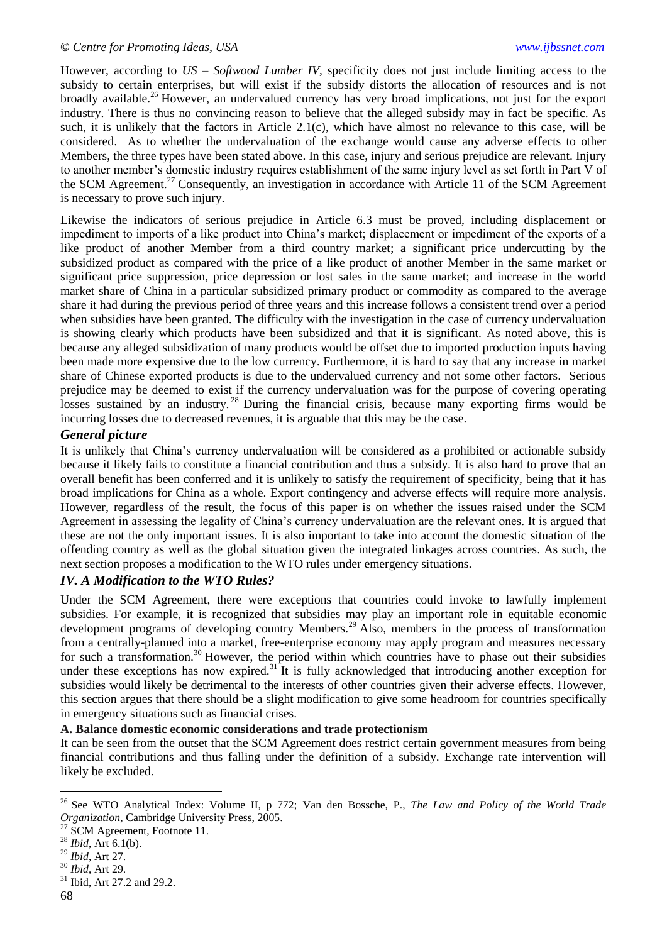However, according to *US – Softwood Lumber IV*, specificity does not just include limiting access to the subsidy to certain enterprises, but will exist if the subsidy distorts the allocation of resources and is not broadly available.<sup>26</sup> However, an undervalued currency has very broad implications, not just for the export industry. There is thus no convincing reason to believe that the alleged subsidy may in fact be specific. As such, it is unlikely that the factors in Article 2.1(c), which have almost no relevance to this case, will be considered. As to whether the undervaluation of the exchange would cause any adverse effects to other Members, the three types have been stated above. In this case, injury and serious prejudice are relevant. Injury to another member"s domestic industry requires establishment of the same injury level as set forth in Part V of the SCM Agreement.<sup>27</sup> Consequently, an investigation in accordance with Article 11 of the SCM Agreement is necessary to prove such injury.

Likewise the indicators of serious prejudice in Article 6.3 must be proved, including displacement or impediment to imports of a like product into China"s market; displacement or impediment of the exports of a like product of another Member from a third country market; a significant price undercutting by the subsidized product as compared with the price of a like product of another Member in the same market or significant price suppression, price depression or lost sales in the same market; and increase in the world market share of China in a particular subsidized primary product or commodity as compared to the average share it had during the previous period of three years and this increase follows a consistent trend over a period when subsidies have been granted. The difficulty with the investigation in the case of currency undervaluation is showing clearly which products have been subsidized and that it is significant. As noted above, this is because any alleged subsidization of many products would be offset due to imported production inputs having been made more expensive due to the low currency. Furthermore, it is hard to say that any increase in market share of Chinese exported products is due to the undervalued currency and not some other factors. Serious prejudice may be deemed to exist if the currency undervaluation was for the purpose of covering operating losses sustained by an industry.<sup>28</sup> During the financial crisis, because many exporting firms would be incurring losses due to decreased revenues, it is arguable that this may be the case.

## *General picture*

It is unlikely that China"s currency undervaluation will be considered as a prohibited or actionable subsidy because it likely fails to constitute a financial contribution and thus a subsidy. It is also hard to prove that an overall benefit has been conferred and it is unlikely to satisfy the requirement of specificity, being that it has broad implications for China as a whole. Export contingency and adverse effects will require more analysis. However, regardless of the result, the focus of this paper is on whether the issues raised under the SCM Agreement in assessing the legality of China"s currency undervaluation are the relevant ones. It is argued that these are not the only important issues. It is also important to take into account the domestic situation of the offending country as well as the global situation given the integrated linkages across countries. As such, the next section proposes a modification to the WTO rules under emergency situations.

## *IV. A Modification to the WTO Rules?*

Under the SCM Agreement, there were exceptions that countries could invoke to lawfully implement subsidies. For example, it is recognized that subsidies may play an important role in equitable economic development programs of developing country Members.<sup>29</sup> Also, members in the process of transformation from a centrally-planned into a market, free-enterprise economy may apply program and measures necessary for such a transformation.<sup>30</sup> However, the period within which countries have to phase out their subsidies under these exceptions has now expired.<sup>31</sup> It is fully acknowledged that introducing another exception for subsidies would likely be detrimental to the interests of other countries given their adverse effects. However, this section argues that there should be a slight modification to give some headroom for countries specifically in emergency situations such as financial crises.

## **A. Balance domestic economic considerations and trade protectionism**

It can be seen from the outset that the SCM Agreement does restrict certain government measures from being financial contributions and thus falling under the definition of a subsidy. Exchange rate intervention will likely be excluded.

<sup>&</sup>lt;u>.</u> <sup>26</sup> See WTO Analytical Index: Volume II, p 772; Van den Bossche, P., *The Law and Policy of the World Trade Organization*, Cambridge University Press, 2005.

<sup>&</sup>lt;sup>27</sup> SCM Agreement, Footnote 11.

<sup>28</sup> *Ibid*, Art 6.1(b).

<sup>29</sup> *Ibid*, Art 27.

<sup>30</sup> *Ibid*, Art 29.

<sup>&</sup>lt;sup>31</sup> Ibid, Art 27.2 and 29.2.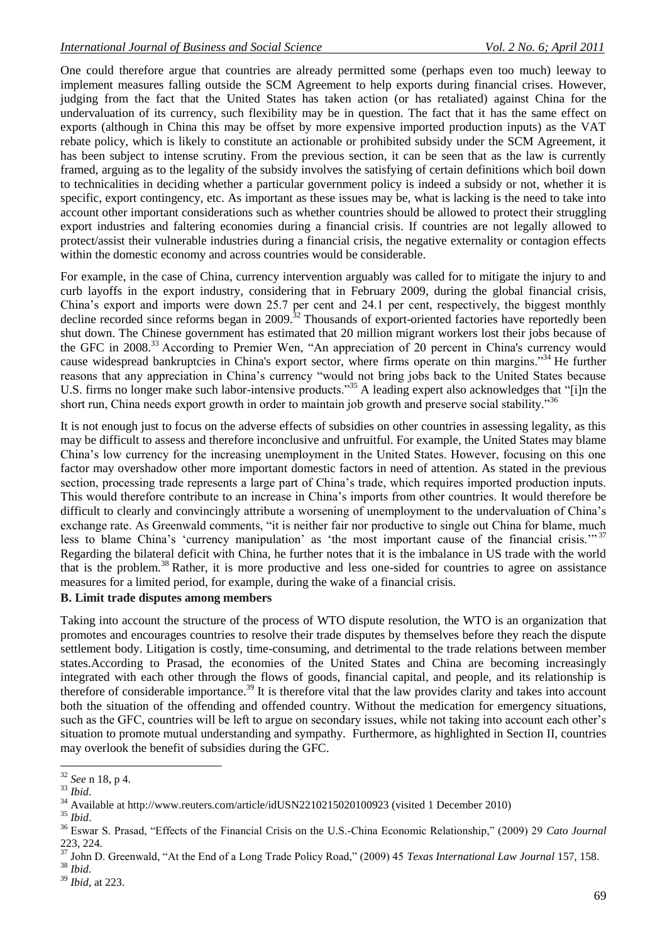One could therefore argue that countries are already permitted some (perhaps even too much) leeway to implement measures falling outside the SCM Agreement to help exports during financial crises. However, judging from the fact that the United States has taken action (or has retaliated) against China for the undervaluation of its currency, such flexibility may be in question. The fact that it has the same effect on exports (although in China this may be offset by more expensive imported production inputs) as the VAT rebate policy, which is likely to constitute an actionable or prohibited subsidy under the SCM Agreement, it has been subject to intense scrutiny. From the previous section, it can be seen that as the law is currently framed, arguing as to the legality of the subsidy involves the satisfying of certain definitions which boil down to technicalities in deciding whether a particular government policy is indeed a subsidy or not, whether it is specific, export contingency, etc. As important as these issues may be, what is lacking is the need to take into account other important considerations such as whether countries should be allowed to protect their struggling export industries and faltering economies during a financial crisis. If countries are not legally allowed to protect/assist their vulnerable industries during a financial crisis, the negative externality or contagion effects within the domestic economy and across countries would be considerable.

For example, in the case of China, currency intervention arguably was called for to mitigate the injury to and curb layoffs in the export industry, considering that in February 2009, during the global financial crisis, China"s export and imports were down 25.7 per cent and 24.1 per cent, respectively, the biggest monthly decline recorded since reforms began in 2009.<sup>32</sup> Thousands of export-oriented factories have reportedly been shut down. The Chinese government has estimated that 20 million migrant workers lost their jobs because of the GFC in 2008.<sup>33</sup> According to Premier Wen, "An appreciation of 20 percent in China's currency would cause widespread bankruptcies in China's export sector, where firms operate on thin margins."<sup>34</sup> He further reasons that any appreciation in China"s currency "would not bring jobs back to the United States because U.S. firms no longer make such labor-intensive products.<sup>355</sup> A leading expert also acknowledges that "[i]n the short run, China needs export growth in order to maintain job growth and preserve social stability."<sup>36</sup>

<span id="page-7-0"></span>It is not enough just to focus on the adverse effects of subsidies on other countries in assessing legality, as this may be difficult to assess and therefore inconclusive and unfruitful. For example, the United States may blame China"s low currency for the increasing unemployment in the United States. However, focusing on this one factor may overshadow other more important domestic factors in need of attention. As stated in the previous section, processing trade represents a large part of China's trade, which requires imported production inputs. This would therefore contribute to an increase in China"s imports from other countries. It would therefore be difficult to clearly and convincingly attribute a worsening of unemployment to the undervaluation of China"s exchange rate. As Greenwald comments, "it is neither fair nor productive to single out China for blame, much less to blame China's 'currency manipulation' as 'the most important cause of the financial crisis."<sup>37</sup> Regarding the bilateral deficit with China, he further notes that it is the imbalance in US trade with the world that is the problem.<sup>38</sup> Rather, it is more productive and less one-sided for countries to agree on assistance measures for a limited period, for example, during the wake of a financial crisis.

#### **B. Limit trade disputes among members**

Taking into account the structure of the process of WTO dispute resolution, the WTO is an organization that promotes and encourages countries to resolve their trade disputes by themselves before they reach the dispute settlement body. Litigation is costly, time-consuming, and detrimental to the trade relations between member states.According to Prasad, the economies of the United States and China are becoming increasingly integrated with each other through the flows of goods, financial capital, and people, and its relationship is therefore of considerable importance.<sup>39</sup> It is therefore vital that the law provides clarity and takes into account both the situation of the offending and offended country. Without the medication for emergency situations, such as the GFC, countries will be left to argue on secondary issues, while not taking into account each other's situation to promote mutual understanding and sympathy. Furthermore, as highlighted in Section II, countries may overlook the benefit of subsidies during the GFC.

<sup>1</sup> <sup>32</sup> *See* n [18,](#page-4-1) p 4.

<sup>33</sup> *Ibid*.

<sup>&</sup>lt;sup>34</sup> Available at http://www.reuters.com/article/idUSN2210215020100923 (visited 1 December 2010)

<sup>35</sup> *Ibid*.

<sup>36</sup> Eswar S. Prasad, "Effects of the Financial Crisis on the U.S.-China Economic Relationship," (2009) 29 *Cato Journal*  223, 224.

<sup>37</sup> John D. Greenwald, "At the End of a Long Trade Policy Road," (2009) 45 *Texas International Law Journal* 157, 158.

<sup>38</sup> *Ibid*.

<sup>39</sup> *Ibid*, at 223.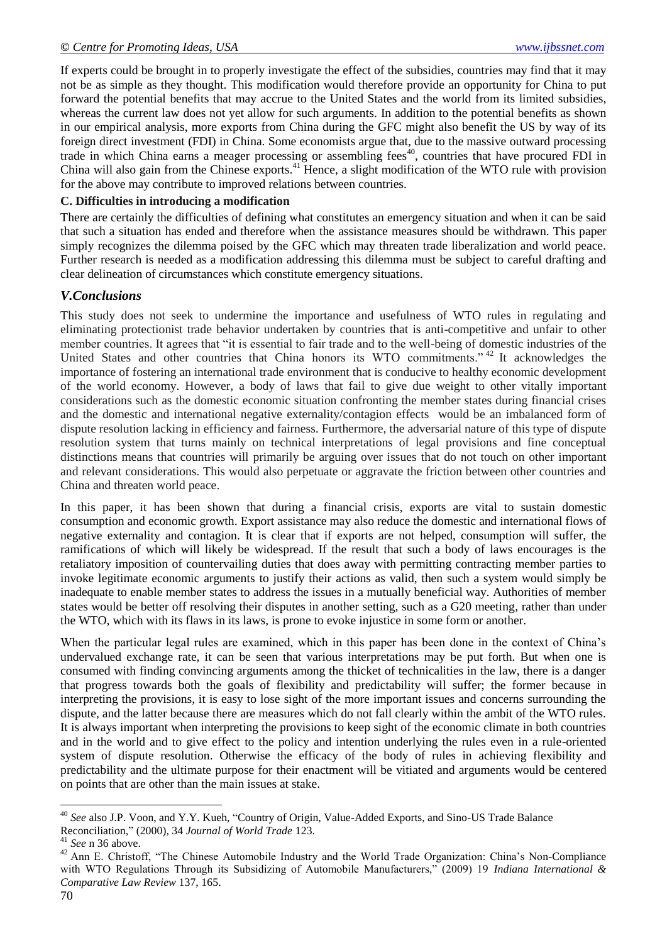If experts could be brought in to properly investigate the effect of the subsidies, countries may find that it may not be as simple as they thought. This modification would therefore provide an opportunity for China to put forward the potential benefits that may accrue to the United States and the world from its limited subsidies, whereas the current law does not yet allow for such arguments. In addition to the potential benefits as shown in our empirical analysis, more exports from China during the GFC might also benefit the US by way of its foreign direct investment (FDI) in China. Some economists argue that, due to the massive outward processing trade in which China earns a meager processing or assembling fees<sup>40</sup>, countries that have procured FDI in China will also gain from the Chinese exports.<sup>41</sup> Hence, a slight modification of the WTO rule with provision for the above may contribute to improved relations between countries.

## **C. Difficulties in introducing a modification**

There are certainly the difficulties of defining what constitutes an emergency situation and when it can be said that such a situation has ended and therefore when the assistance measures should be withdrawn. This paper simply recognizes the dilemma poised by the GFC which may threaten trade liberalization and world peace. Further research is needed as a modification addressing this dilemma must be subject to careful drafting and clear delineation of circumstances which constitute emergency situations.

## *V.Conclusions*

This study does not seek to undermine the importance and usefulness of WTO rules in regulating and eliminating protectionist trade behavior undertaken by countries that is anti-competitive and unfair to other member countries. It agrees that "it is essential to fair trade and to the well-being of domestic industries of the United States and other countries that China honors its WTO commitments."<sup>42</sup> It acknowledges the importance of fostering an international trade environment that is conducive to healthy economic development of the world economy. However, a body of laws that fail to give due weight to other vitally important considerations such as the domestic economic situation confronting the member states during financial crises and the domestic and international negative externality/contagion effects would be an imbalanced form of dispute resolution lacking in efficiency and fairness. Furthermore, the adversarial nature of this type of dispute resolution system that turns mainly on technical interpretations of legal provisions and fine conceptual distinctions means that countries will primarily be arguing over issues that do not touch on other important and relevant considerations. This would also perpetuate or aggravate the friction between other countries and China and threaten world peace.

In this paper, it has been shown that during a financial crisis, exports are vital to sustain domestic consumption and economic growth. Export assistance may also reduce the domestic and international flows of negative externality and contagion. It is clear that if exports are not helped, consumption will suffer, the ramifications of which will likely be widespread. If the result that such a body of laws encourages is the retaliatory imposition of countervailing duties that does away with permitting contracting member parties to invoke legitimate economic arguments to justify their actions as valid, then such a system would simply be inadequate to enable member states to address the issues in a mutually beneficial way. Authorities of member states would be better off resolving their disputes in another setting, such as a G20 meeting, rather than under the WTO, which with its flaws in its laws, is prone to evoke injustice in some form or another.

When the particular legal rules are examined, which in this paper has been done in the context of China's undervalued exchange rate, it can be seen that various interpretations may be put forth. But when one is consumed with finding convincing arguments among the thicket of technicalities in the law, there is a danger that progress towards both the goals of flexibility and predictability will suffer; the former because in interpreting the provisions, it is easy to lose sight of the more important issues and concerns surrounding the dispute, and the latter because there are measures which do not fall clearly within the ambit of the WTO rules. It is always important when interpreting the provisions to keep sight of the economic climate in both countries and in the world and to give effect to the policy and intention underlying the rules even in a rule-oriented system of dispute resolution. Otherwise the efficacy of the body of rules in achieving flexibility and predictability and the ultimate purpose for their enactment will be vitiated and arguments would be centered on points that are other than the main issues at stake.

<sup>40</sup> *See* also J.P. Voon, and Y.Y. Kueh, "Country of Origin, Value-Added Exports, and Sino-US Trade Balance Reconciliation," (2000), 34 *Journal of World Trade* 123.

<sup>41</sup> *See* n [36](#page-7-0) above.

<sup>&</sup>lt;sup>42</sup> Ann E. Christoff, "The Chinese Automobile Industry and the World Trade Organization: China's Non-Compliance with WTO Regulations Through its Subsidizing of Automobile Manufacturers," (2009) 19 *Indiana International & Comparative Law Review* 137, 165.